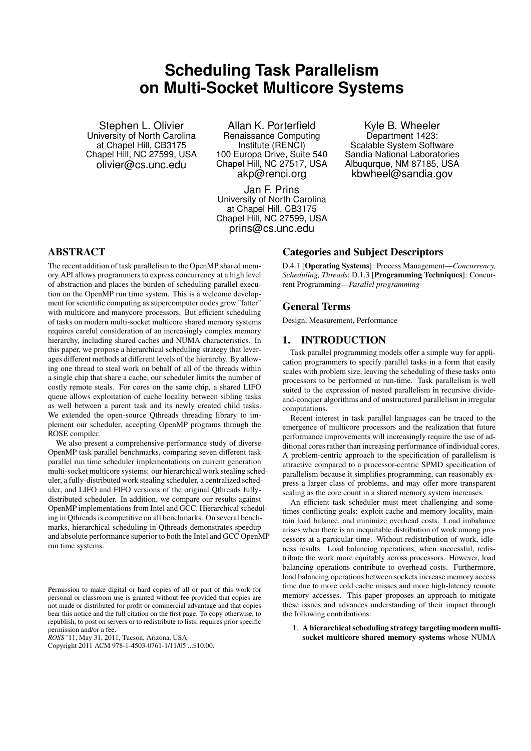# **Scheduling Task Parallelism on Multi-Socket Multicore Systems**

Stephen L. Olivier University of North Carolina at Chapel Hill, CB3175 Chapel Hill, NC 27599, USA olivier@cs.unc.edu

Allan K. Porterfield Renaissance Computing Institute (RENCI) 100 Europa Drive, Suite 540 Chapel Hill, NC 27517, USA akp@renci.org

Jan F. Prins University of North Carolina at Chapel Hill, CB3175 Chapel Hill, NC 27599, USA prins@cs.unc.edu

Kyle B. Wheeler Department 1423: Scalable System Software Sandia National Laboratories Albuqurque, NM 87185, USA kbwheel@sandia.gov

# ABSTRACT

The recent addition of task parallelism to the OpenMP shared memory API allows programmers to express concurrency at a high level of abstraction and places the burden of scheduling parallel execution on the OpenMP run time system. This is a welcome development for scientific computing as supercomputer nodes grow "fatter" with multicore and manycore processors. But efficient scheduling of tasks on modern multi-socket multicore shared memory systems requires careful consideration of an increasingly complex memory hierarchy, including shared caches and NUMA characteristics. In this paper, we propose a hierarchical scheduling strategy that leverages different methods at different levels of the hierarchy. By allowing one thread to steal work on behalf of all of the threads within a single chip that share a cache, our scheduler limits the number of costly remote steals. For cores on the same chip, a shared LIFO queue allows exploitation of cache locality between sibling tasks as well between a parent task and its newly created child tasks. We extended the open-source Qthreads threading library to implement our scheduler, accepting OpenMP programs through the ROSE compiler.

We also present a comprehensive performance study of diverse OpenMP task parallel benchmarks, comparing seven different task parallel run time scheduler implementations on current generation multi-socket multicore systems: our hierarchical work stealing scheduler, a fully-distributed work stealing scheduler, a centralized scheduler, and LIFO and FIFO versions of the original Qthreads fullydistributed scheduler. In addition, we compare our results against OpenMP implementations from Intel and GCC. Hierarchical scheduling in Qthreads is competitive on all benchmarks. On several benchmarks, hierarchical scheduling in Qthreads demonstrates speedup and absolute performance superior to both the Intel and GCC OpenMP run time systems.

*ROSS* '11, May 31, 2011, Tucson, Arizona, USA

Copyright 2011 ACM 978-1-4503-0761-1/11/05 ...\$10.00.

#### Categories and Subject Descriptors

D.4.1 [Operating Systems]: Process Management—*Concurrency, Scheduling, Threads*; D.1.3 [Programming Techniques]: Concurrent Programming—*Parallel programming*

## General Terms

Design, Measurement, Performance

## 1. INTRODUCTION

Task parallel programming models offer a simple way for application programmers to specify parallel tasks in a form that easily scales with problem size, leaving the scheduling of these tasks onto processors to be performed at run-time. Task parallelism is well suited to the expression of nested parallelism in recursive divideand-conquer algorithms and of unstructured parallelism in irregular computations.

Recent interest in task parallel languages can be traced to the emergence of multicore processors and the realization that future performance improvements will increasingly require the use of additional cores rather than increasing performance of individual cores. A problem-centric approach to the specification of parallelism is attractive compared to a processor-centric SPMD specification of parallelism because it simplifies programming, can reasonably express a larger class of problems, and may offer more transparent scaling as the core count in a shared memory system increases.

An efficient task scheduler must meet challenging and sometimes conflicting goals: exploit cache and memory locality, maintain load balance, and minimize overhead costs. Load imbalance arises when there is an inequitable distribution of work among processors at a particular time. Without redistribution of work, idleness results. Load balancing operations, when successful, redistribute the work more equitably across processors. However, load balancing operations contribute to overhead costs. Furthermore, load balancing operations between sockets increase memory access time due to more cold cache misses and more high-latency remote memory accesses. This paper proposes an approach to mitigate these issues and advances understanding of their impact through the following contributions:

1. A hierarchical scheduling strategy targeting modern multisocket multicore shared memory systems whose NUMA

Permission to make digital or hard copies of all or part of this work for personal or classroom use is granted without fee provided that copies are not made or distributed for profit or commercial advantage and that copies bear this notice and the full citation on the first page. To copy otherwise, to republish, to post on servers or to redistribute to lists, requires prior specific permission and/or a fee.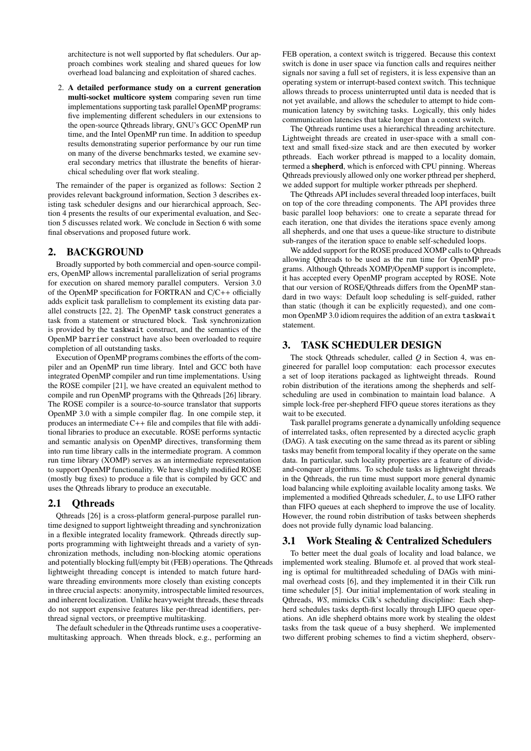architecture is not well supported by flat schedulers. Our approach combines work stealing and shared queues for low overhead load balancing and exploitation of shared caches.

2. A detailed performance study on a current generation multi-socket multicore system comparing seven run time implementations supporting task parallel OpenMP programs: five implementing different schedulers in our extensions to the open-source Qthreads library, GNU's GCC OpenMP run time, and the Intel OpenMP run time. In addition to speedup results demonstrating superior performance by our run time on many of the diverse benchmarks tested, we examine several secondary metrics that illustrate the benefits of hierarchical scheduling over flat work stealing.

The remainder of the paper is organized as follows: Section 2 provides relevant background information, Section 3 describes existing task scheduler designs and our hierarchical approach, Section 4 presents the results of our experimental evaluation, and Section 5 discusses related work. We conclude in Section 6 with some final observations and proposed future work.

## 2. BACKGROUND

Broadly supported by both commercial and open-source compilers, OpenMP allows incremental parallelization of serial programs for execution on shared memory parallel computers. Version 3.0 of the OpenMP specification for FORTRAN and C/C++ officially adds explicit task parallelism to complement its existing data parallel constructs [22, 2]. The OpenMP task construct generates a task from a statement or structured block. Task synchronization is provided by the taskwait construct, and the semantics of the OpenMP barrier construct have also been overloaded to require completion of all outstanding tasks.

Execution of OpenMP programs combines the efforts of the compiler and an OpenMP run time library. Intel and GCC both have integrated OpenMP compiler and run time implementations. Using the ROSE compiler [21], we have created an equivalent method to compile and run OpenMP programs with the Qthreads [26] library. The ROSE compiler is a source-to-source translator that supports OpenMP 3.0 with a simple compiler flag. In one compile step, it produces an intermediate C++ file and compiles that file with additional libraries to produce an executable. ROSE performs syntactic and semantic analysis on OpenMP directives, transforming them into run time library calls in the intermediate program. A common run time library (XOMP) serves as an intermediate representation to support OpenMP functionality. We have slightly modified ROSE (mostly bug fixes) to produce a file that is compiled by GCC and uses the Qthreads library to produce an executable.

# 2.1 Qthreads

Qthreads [26] is a cross-platform general-purpose parallel runtime designed to support lightweight threading and synchronization in a flexible integrated locality framework. Qthreads directly supports programming with lightweight threads and a variety of synchronization methods, including non-blocking atomic operations and potentially blocking full/empty bit (FEB) operations. The Qthreads lightweight threading concept is intended to match future hardware threading environments more closely than existing concepts in three crucial aspects: anonymity, introspectable limited resources, and inherent localization. Unlike heavyweight threads, these threads do not support expensive features like per-thread identifiers, perthread signal vectors, or preemptive multitasking.

The default scheduler in the Qthreads runtime uses a cooperativemultitasking approach. When threads block, e.g., performing an FEB operation, a context switch is triggered. Because this context switch is done in user space via function calls and requires neither signals nor saving a full set of registers, it is less expensive than an operating system or interrupt-based context switch. This technique allows threads to process uninterrupted until data is needed that is not yet available, and allows the scheduler to attempt to hide communication latency by switching tasks. Logically, this only hides communication latencies that take longer than a context switch.

The Qthreads runtime uses a hierarchical threading architecture. Lightweight threads are created in user-space with a small context and small fixed-size stack and are then executed by worker pthreads. Each worker pthread is mapped to a locality domain, termed a shepherd, which is enforced with CPU pinning. Whereas Qthreads previously allowed only one worker pthread per shepherd, we added support for multiple worker pthreads per shepherd.

The Qthreads API includes several threaded loop interfaces, built on top of the core threading components. The API provides three basic parallel loop behaviors: one to create a separate thread for each iteration, one that divides the iterations space evenly among all shepherds, and one that uses a queue-like structure to distribute sub-ranges of the iteration space to enable self-scheduled loops.

We added support for the ROSE produced XOMP calls to Qthreads allowing Qthreads to be used as the run time for OpenMP programs. Although Qthreads XOMP/OpenMP support is incomplete, it has accepted every OpenMP program accepted by ROSE. Note that our version of ROSE/Qthreads differs from the OpenMP standard in two ways: Default loop scheduling is self-guided, rather than static (though it can be explicitly requested), and one common OpenMP 3.0 idiom requires the addition of an extra taskwait statement.

## 3. TASK SCHEDULER DESIGN

The stock Qthreads scheduler, called *Q* in Section 4, was engineered for parallel loop computation: each processor executes a set of loop iterations packaged as lightweight threads. Round robin distribution of the iterations among the shepherds and selfscheduling are used in combination to maintain load balance. A simple lock-free per-shepherd FIFO queue stores iterations as they wait to be executed.

Task parallel programs generate a dynamically unfolding sequence of interrelated tasks, often represented by a directed acyclic graph (DAG). A task executing on the same thread as its parent or sibling tasks may benefit from temporal locality if they operate on the same data. In particular, such locality properties are a feature of divideand-conquer algorithms. To schedule tasks as lightweight threads in the Qthreads, the run time must support more general dynamic load balancing while exploiting available locality among tasks. We implemented a modified Qthreads scheduler, *L*, to use LIFO rather than FIFO queues at each shepherd to improve the use of locality. However, the round robin distribution of tasks between shepherds does not provide fully dynamic load balancing.

# 3.1 Work Stealing & Centralized Schedulers

To better meet the dual goals of locality and load balance, we implemented work stealing. Blumofe et. al proved that work stealing is optimal for multithreaded scheduling of DAGs with minimal overhead costs [6], and they implemented it in their Cilk run time scheduler [5]. Our initial implementation of work stealing in Qthreads, *WS*, mimicks Cilk's scheduling discipline: Each shepherd schedules tasks depth-first locally through LIFO queue operations. An idle shepherd obtains more work by stealing the oldest tasks from the task queue of a busy shepherd. We implemented two different probing schemes to find a victim shepherd, observ-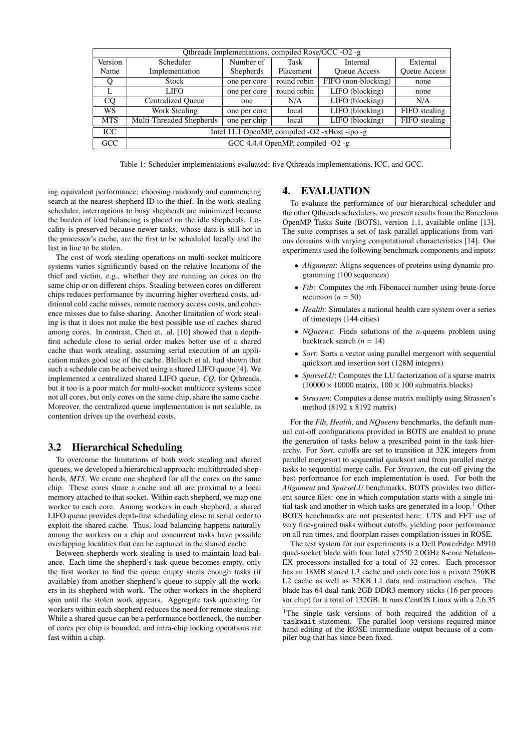| Othreads Implementations, compiled Rose/GCC -O2 -g |                                                                                       |                  |             |                     |                     |  |  |  |
|----------------------------------------------------|---------------------------------------------------------------------------------------|------------------|-------------|---------------------|---------------------|--|--|--|
| Version                                            | Scheduler                                                                             | Number of        | Task        | Internal            | External            |  |  |  |
| Name                                               | Implementation                                                                        | <b>Shepherds</b> | Placement   | <b>Oueue Access</b> | <b>Oueue Access</b> |  |  |  |
|                                                    | Stock                                                                                 | one per core     | round robin | FIFO (non-blocking) | none                |  |  |  |
|                                                    | LIFO.                                                                                 | one per core     | round robin | LIFO (blocking)     | none                |  |  |  |
| CQ                                                 | <b>Centralized Oueue</b>                                                              | one              | N/A         | LIFO (blocking)     | N/A                 |  |  |  |
| WS                                                 | <b>Work Stealing</b>                                                                  | one per core     | local       | LIFO (blocking)     | FIFO stealing       |  |  |  |
| <b>MTS</b>                                         | LIFO (blocking)<br>Multi-Threaded Shepherds<br>FIFO stealing<br>one per chip<br>local |                  |             |                     |                     |  |  |  |
| ICC.                                               | Intel 11.1 OpenMP, compiled -O2 -xHost -ipo -g                                        |                  |             |                     |                     |  |  |  |
| <b>GCC</b>                                         | GCC 4.4.4 OpenMP, compiled -O2 -g                                                     |                  |             |                     |                     |  |  |  |

Table 1: Scheduler implementations evaluated: five Qthreads implementations, ICC, and GCC.

ing equivalent performance: choosing randomly and commencing search at the nearest shepherd ID to the thief. In the work stealing scheduler, interruptions to busy shepherds are minimized because the burden of load balancing is placed on the idle shepherds. Locality is preserved because newer tasks, whose data is still hot in the processor's cache, are the first to be scheduled locally and the last in line to be stolen.

The cost of work stealing operations on multi-socket multicore systems varies significantly based on the relative locations of the thief and victim, e.g., whether they are running on cores on the same chip or on different chips. Stealing between cores on different chips reduces performance by incurring higher overhead costs, additional cold cache misses, remote memory access costs, and coherence misses due to false sharing. Another limitation of work stealing is that it does not make the best possible use of caches shared among cores. In contrast, Chen et. al. [10] showed that a depthfirst schedule close to serial order makes better use of a shared cache than work stealing, assuming serial execution of an application makes good use of the cache. Blelloch et al. had shown that such a schedule can be acheived using a shared LIFO queue [4]. We implemented a centralized shared LIFO queue, *CQ*, for Qthreads, but it too is a poor match for multi-socket multicore systems since not all cores, but only cores on the same chip, share the same cache. Moreover, the centralized queue implementation is not scalable, as contention drives up the overhead costs.

## 3.2 Hierarchical Scheduling

To overcome the limitations of both work stealing and shared queues, we developed a hierarchical approach: multithreaded shepherds, *MTS*. We create one shepherd for all the cores on the same chip. These cores share a cache and all are proximal to a local memory attached to that socket. Within each shepherd, we map one worker to each core. Among workers in each shepherd, a shared LIFO queue provides depth-first scheduling close to serial order to exploit the shared cache. Thus, load balancing happens naturally among the workers on a chip and concurrent tasks have possible overlapping localities that can be captured in the shared cache.

Between shepherds work stealing is used to maintain load balance. Each time the shepherd's task queue becomes empty, only the first worker to find the queue empty steals enough tasks (if available) from another shepherd's queue to supply all the workers in its shepherd with work. The other workers in the shepherd spin until the stolen work appears. Aggregate task queueing for workers within each shepherd reduces the need for remote stealing. While a shared queue can be a performance bottleneck, the number of cores per chip is bounded, and intra-chip locking operations are fast within a chip.

# 4. EVALUATION

To evaluate the performance of our hierarchical scheduler and the other Qthreads schedulers, we present results from the Barcelona OpenMP Tasks Suite (BOTS), version 1.1, available online [13]. The suite comprises a set of task parallel applications from various domains with varying computational characteristics [14]. Our experiments used the following benchmark components and inputs:

- *Alignment*: Aligns sequences of proteins using dynamic programming (100 sequences)
- *Fib*: Computes the *n*th Fibonacci number using brute-force recursion ( $n = 50$ )
- *Health*: Simulates a national health care system over a series of timesteps (144 cities)
- *NQueens*: Finds solutions of the *n*-queens problem using backtrack search  $(n = 14)$
- *Sort*: Sorts a vector using parallel mergesort with sequential quicksort and insertion sort (128M integers)
- *SparseLU*: Computes the LU factorization of a sparse matrix  $(10000 \times 10000 \text{ matrix}, 100 \times 100 \text{ submatrix blocks})$
- *Strassen*: Computes a dense matrix multiply using Strassen's method (8192 x 8192 matrix)

For the *Fib*, *Health*, and *NQueens* benchmarks, the default manual cut-off configurations provided in BOTS are enabled to prune the generation of tasks below a prescribed point in the task hierarchy. For *Sort*, cutoffs are set to transition at 32K integers from parallel mergesort to sequential quicksort and from parallel merge tasks to sequential merge calls. For *Strassen*, the cut-off giving the best performance for each implementation is used. For both the *Alignment* and *SparseLU* benchmarks, BOTS provides two different source files: one in which computation starts with a single initial task and another in which tasks are generated in a loop.<sup>1</sup> Other BOTS benchmarks are not presented here: UTS and FFT use of very fine-grained tasks without cutoffs, yielding poor performance on all run times, and floorplan raises compilation issues in ROSE.

The test system for our experiments is a Dell PowerEdge M910 quad-socket blade with four Intel x7550 2.0GHz 8-core Nehalem-EX processors installed for a total of 32 cores. Each processor has an 18MB shared L3 cache and each core has a private 256KB L2 cache as well as 32KB L1 data and instruction caches. The blade has 64 dual-rank 2GB DDR3 memory sticks (16 per processor chip) for a total of 132GB. It runs CentOS Linux with a 2.6.35

<sup>&</sup>lt;sup>1</sup>The single task versions of both required the addition of a taskwait statement. The parallel loop versions required minor hand-editing of the ROSE intermediate output because of a compiler bug that has since been fixed.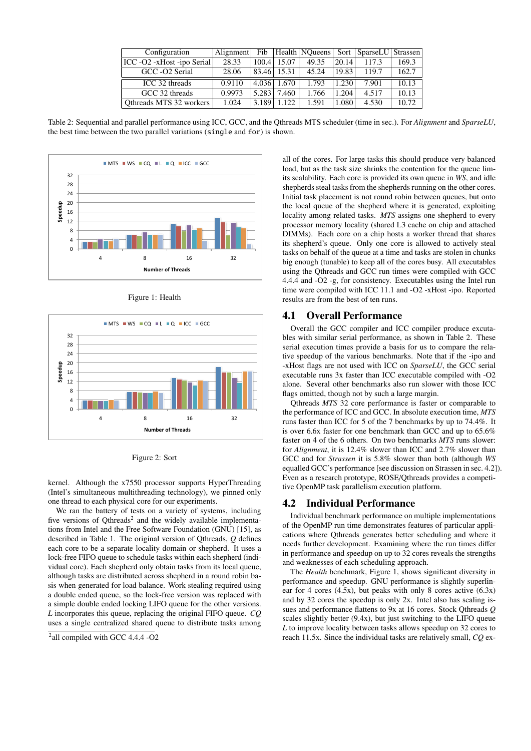| Configuration              | Alignment |        |             |       |       | Fib   Health   NQueens   Sort   SparseLU   Strassen |       |
|----------------------------|-----------|--------|-------------|-------|-------|-----------------------------------------------------|-------|
| ICC -O2 -xHost -ipo Serial | 28.33     | 100.4  | 15.07       | 49.35 | 20.14 | 1173                                                | 169.3 |
| GCC -O2 Serial             | 28.06     |        | 83.46 15.31 | 45.24 | 19.83 | 119.7                                               | 162.7 |
| ICC 32 threads             | 0.9110    |        | 4.036 1.670 | 1.793 | 1.230 | 7.901                                               | 10.13 |
| GCC 32 threads             | 0.9973    | 5.2831 | 7.460       | 1.766 | 1.204 | 4.517                                               | 10.13 |
| Othreads MTS 32 workers    | 1.024     | 3.189  | 122         | 1.591 | 1.080 | 4.530                                               | 10.72 |

Table 2: Sequential and parallel performance using ICC, GCC, and the Qthreads MTS scheduler (time in sec.). For *Alignment* and *SparseLU*, the best time between the two parallel variations (single and for) is shown.



Figure 1: Health



Figure 2: Sort

kernel. Although the x7550 processor supports HyperThreading (Intel's simultaneous multithreading technology), we pinned only one thread to each physical core for our experiments.

We ran the battery of tests on a variety of systems, including five versions of Qthreads<sup>2</sup> and the widely available implementations from Intel and the Free Software Foundation (GNU) [15], as described in Table 1. The original version of Qthreads, *Q* defines each core to be a separate locality domain or shepherd. It uses a lock-free FIFO queue to schedule tasks within each shepherd (individual core). Each shepherd only obtain tasks from its local queue, although tasks are distributed across shepherd in a round robin basis when generated for load balance. Work stealing required using a double ended queue, so the lock-free version was replaced with a simple double ended locking LIFO queue for the other versions. *L* incorporates this queue, replacing the original FIFO queue. *CQ* uses a single centralized shared queue to distribute tasks among

all of the cores. For large tasks this should produce very balanced load, but as the task size shrinks the contention for the queue limits scalability. Each core is provided its own queue in *WS*, and idle shepherds steal tasks from the shepherds running on the other cores. Initial task placement is not round robin between queues, but onto the local queue of the shepherd where it is generated, exploiting locality among related tasks. *MTS* assigns one shepherd to every processor memory locality (shared L3 cache on chip and attached DIMMs). Each core on a chip hosts a worker thread that shares its shepherd's queue. Only one core is allowed to actively steal tasks on behalf of the queue at a time and tasks are stolen in chunks big enough (tunable) to keep all of the cores busy. All executables using the Qthreads and GCC run times were compiled with GCC 4.4.4 and -O2 -g, for consistency. Executables using the Intel run time were compiled with ICC 11.1 and -O2 -xHost -ipo. Reported results are from the best of ten runs.

## 4.1 Overall Performance

Overall the GCC compiler and ICC compiler produce excutables with similar serial performance, as shown in Table 2. These serial execution times provide a basis for us to compare the relative speedup of the various benchmarks. Note that if the -ipo and -xHost flags are not used with ICC on *SparseLU*, the GCC serial executable runs 3x faster than ICC executable compiled with -O2 alone. Several other benchmarks also run slower with those ICC flags omitted, though not by such a large margin.

Qthreads *MTS* 32 core performance is faster or comparable to the performance of ICC and GCC. In absolute execution time, *MTS* runs faster than ICC for 5 of the 7 benchmarks by up to 74.4%. It is over 6.6x faster for one benchmark than GCC and up to 65.6% faster on 4 of the 6 others. On two benchmarks *MTS* runs slower: for *Alignment*, it is 12.4% slower than ICC and 2.7% slower than GCC and for *Strassen* it is 5.8% slower than both (although *WS* equalled GCC's performance [see discussion on Strassen in sec. 4.2]). Even as a research prototype, ROSE/Qthreads provides a competitive OpenMP task parallelism execution platform.

## 4.2 Individual Performance

Individual benchmark performance on multiple implementations of the OpenMP run time demonstrates features of particular applications where Qthreads generates better scheduling and where it needs further development. Examining where the run times differ in performance and speedup on up to 32 cores reveals the strengths and weaknesses of each scheduling approach.

The *Health* benchmark, Figure 1, shows significant diversity in performance and speedup. GNU performance is slightly superlinear for 4 cores (4.5x), but peaks with only 8 cores active (6.3x) and by 32 cores the speedup is only 2x. Intel also has scaling issues and performance flattens to 9x at 16 cores. Stock Qthreads *Q* scales slightly better (9.4x), but just switching to the LIFO queue *L* to improve locality between tasks allows speedup on 32 cores to reach 11.5x. Since the individual tasks are relatively small, *CQ* ex-

<sup>&</sup>lt;sup>2</sup> all compiled with GCC 4.4.4 -O2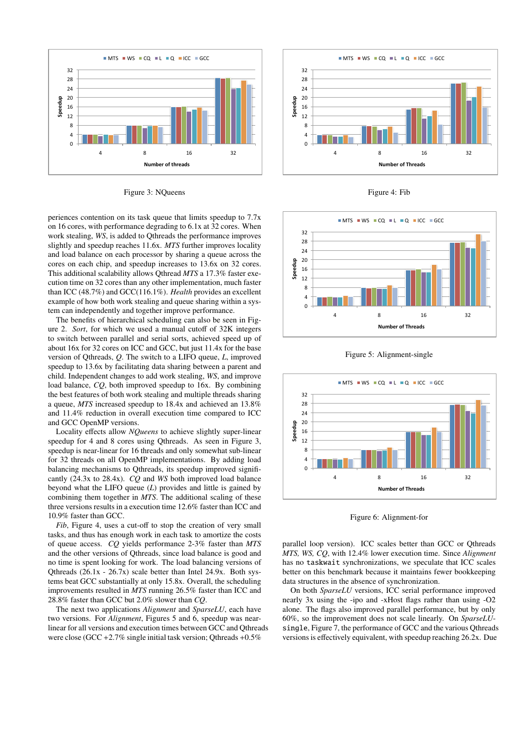

Figure 3: NQueens

periences contention on its task queue that limits speedup to 7.7x on 16 cores, with performance degrading to 6.1x at 32 cores. When work stealing, *WS*, is added to Qthreads the performance improves slightly and speedup reaches 11.6x. *MTS* further improves locality and load balance on each processor by sharing a queue across the cores on each chip, and speedup increases to 13.6x on 32 cores. This additional scalability allows Qthread *MTS* a 17.3% faster execution time on 32 cores than any other implementation, much faster than ICC (48.7%) and GCC(116.1%). *Health* provides an excellent example of how both work stealing and queue sharing within a system can independently and together improve performance.

The benefits of hierarchical scheduling can also be seen in Figure 2. *Sort*, for which we used a manual cutoff of 32K integers to switch between parallel and serial sorts, achieved speed up of about 16x for 32 cores on ICC and GCC, but just 11.4x for the base version of Qthreads, *Q*. The switch to a LIFO queue, *L*, improved speedup to 13.6x by facilitating data sharing between a parent and child. Independent changes to add work stealing, *WS*, and improve load balance, *CQ*, both improved speedup to 16x. By combining the best features of both work stealing and multiple threads sharing a queue, *MTS* increased speedup to 18.4x and achieved an 13.8% and 11.4% reduction in overall execution time compared to ICC and GCC OpenMP versions.

Locality effects allow *NQueens* to achieve slightly super-linear speedup for 4 and 8 cores using Qthreads. As seen in Figure 3, speedup is near-linear for 16 threads and only somewhat sub-linear for 32 threads on all OpenMP implementations. By adding load balancing mechanisms to Qthreads, its speedup improved significantly (24.3x to 28.4x). *CQ* and *WS* both improved load balance beyond what the LIFO queue (*L*) provides and little is gained by combining them together in *MTS*. The additional scaling of these three versions results in a execution time 12.6% faster than ICC and 10.9% faster than GCC.

*Fib*, Figure 4, uses a cut-off to stop the creation of very small tasks, and thus has enough work in each task to amortize the costs of queue access. *CQ* yields performance 2-3% faster than *MTS* and the other versions of Qthreads, since load balance is good and no time is spent looking for work. The load balancing versions of Qthreads (26.1x - 26.7x) scale better than Intel 24.9x. Both systems beat GCC substantially at only 15.8x. Overall, the scheduling improvements resulted in *MTS* running 26.5% faster than ICC and 28.8% faster than GCC but 2.0% slower than *CQ*.

The next two applications *Alignment* and *SparseLU*, each have two versions. For *Alignment*, Figures 5 and 6, speedup was nearlinear for all versions and execution times between GCC and Qthreads were close (GCC +2.7% single initial task version; Qthreads +0.5%



Figure 4: Fib



Figure 5: Alignment-single



Figure 6: Alignment-for

parallel loop version). ICC scales better than GCC or Qthreads *MTS, WS, CQ*, with 12.4% lower execution time. Since *Alignment* has no taskwait synchronizations, we speculate that ICC scales better on this benchmark because it maintains fewer bookkeeping data structures in the absence of synchronization.

On both *SparseLU* versions, ICC serial performance improved nearly 3x using the -ipo and -xHost flags rather than using -O2 alone. The flags also improved parallel performance, but by only 60%, so the improvement does not scale linearly. On *SparseLU*single, Figure 7, the performance of GCC and the various Qthreads versions is effectively equivalent, with speedup reaching 26.2x. Due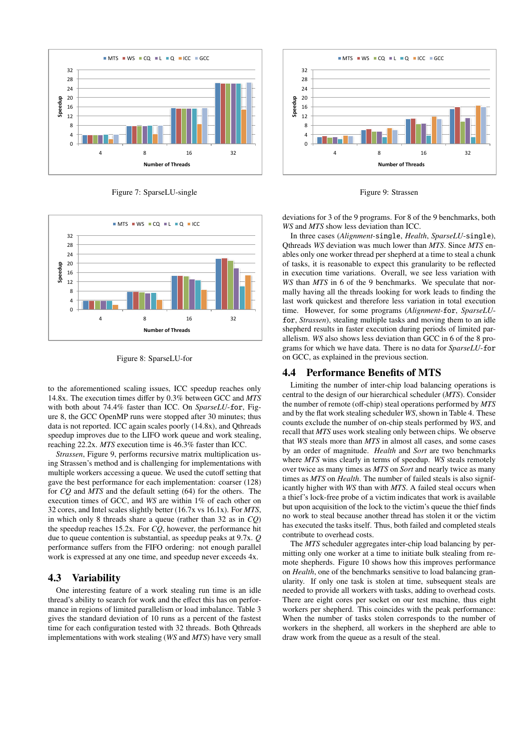

Figure 7: SparseLU-single



Figure 8: SparseLU-for

to the aforementioned scaling issues, ICC speedup reaches only 14.8x. The execution times differ by 0.3% between GCC and *MTS* with both about 74.4% faster than ICC. On *SparseLU*-for, Figure 8, the GCC OpenMP runs were stopped after 30 minutes; thus data is not reported. ICC again scales poorly (14.8x), and Qthreads speedup improves due to the LIFO work queue and work stealing, reaching 22.2x. *MTS* execution time is 46.3% faster than ICC.

*Strassen*, Figure 9, performs recursive matrix multiplication using Strassen's method and is challenging for implementations with multiple workers accessing a queue. We used the cutoff setting that gave the best performance for each implementation: coarser (128) for *CQ* and *MTS* and the default setting (64) for the others. The execution times of GCC, and *WS* are within 1% of each other on 32 cores, and Intel scales slightly better (16.7x vs 16.1x). For *MTS*, in which only 8 threads share a queue (rather than 32 as in *CQ*) the speedup reaches 15.2x. For *CQ*, however, the performance hit due to queue contention is substantial, as speedup peaks at 9.7x. *Q* performance suffers from the FIFO ordering: not enough parallel work is expressed at any one time, and speedup never exceeds 4x.

#### 4.3 Variability

One interesting feature of a work stealing run time is an idle thread's ability to search for work and the effect this has on performance in regions of limited parallelism or load imbalance. Table 3 gives the standard deviation of 10 runs as a percent of the fastest time for each configuration tested with 32 threads. Both Qthreads implementations with work stealing (*WS* and *MTS*) have very small



Figure 9: Strassen

deviations for 3 of the 9 programs. For 8 of the 9 benchmarks, both *WS* and *MTS* show less deviation than ICC.

In three cases (*Alignment-*single, *Health*, *SparseLU*-single), Qthreads *WS* deviation was much lower than *MTS*. Since *MTS* enables only one worker thread per shepherd at a time to steal a chunk of tasks, it is reasonable to expect this granularity to be reflected in execution time variations. Overall, we see less variation with *WS* than *MTS* in 6 of the 9 benchmarks. We speculate that normally having all the threads looking for work leads to finding the last work quickest and therefore less variation in total execution time. However, for some programs (*Alignment*-for, *SparseLU*for, *Strassen*), stealing multiple tasks and moving them to an idle shepherd results in faster execution during periods of limited parallelism. *WS* also shows less deviation than GCC in 6 of the 8 programs for which we have data. There is no data for *SparseLU*-for on GCC, as explained in the previous section.

#### 4.4 Performance Benefits of MTS

Limiting the number of inter-chip load balancing operations is central to the design of our hierarchical scheduler (*MTS*). Consider the number of remote (off-chip) steal operations performed by *MTS* and by the flat work stealing scheduler *WS*, shown in Table 4. These counts exclude the number of on-chip steals performed by *WS*, and recall that *MTS* uses work stealing only between chips. We observe that *WS* steals more than *MTS* in almost all cases, and some cases by an order of magnitude. *Health* and *Sort* are two benchmarks where *MTS* wins clearly in terms of speedup. *WS* steals remotely over twice as many times as *MTS* on *Sort* and nearly twice as many times as *MTS* on *Health*. The number of failed steals is also significantly higher with *WS* than with *MTS*. A failed steal occurs when a thief's lock-free probe of a victim indicates that work is available but upon acquisition of the lock to the victim's queue the thief finds no work to steal because another thread has stolen it or the victim has executed the tasks itself. Thus, both failed and completed steals contribute to overhead costs.

The *MTS* scheduler aggregates inter-chip load balancing by permitting only one worker at a time to initiate bulk stealing from remote shepherds. Figure 10 shows how this improves performance on *Health*, one of the benchmarks sensitive to load balancing granularity. If only one task is stolen at time, subsequent steals are needed to provide all workers with tasks, adding to overhead costs. There are eight cores per socket on our test machine, thus eight workers per shepherd. This coincides with the peak performance: When the number of tasks stolen corresponds to the number of workers in the shepherd, all workers in the shepherd are able to draw work from the queue as a result of the steal.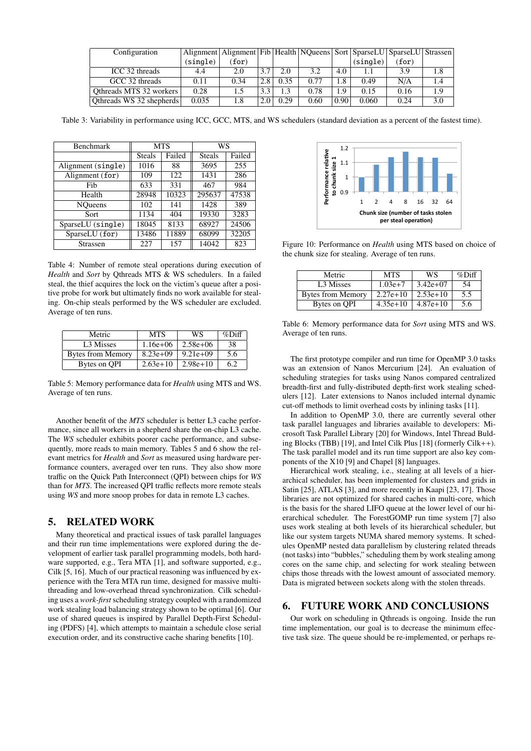| Configuration            |          | Alignment   Alignment   Fib   Health   NOueens   Sort   SparseLU   SparseLU   Strassen |     |      |      |      |          |       |     |
|--------------------------|----------|----------------------------------------------------------------------------------------|-----|------|------|------|----------|-------|-----|
|                          | (single) | for)                                                                                   |     |      |      |      | (single) | (for) |     |
| ICC 32 threads           | 4.4      | 2.0                                                                                    |     | 2.0  | 3.2  | 4.0  |          | 3.9   | 1.8 |
| GCC 32 threads           | 0.11     | 0.34                                                                                   | 2.8 | 0.35 | 0.77 | 1.8  | 0.49     | N/A   | 1.4 |
| Othreads MTS 32 workers  | 0.28     |                                                                                        | 3.3 | 1.3  | 0.78 | 1.9  | 0.15     | 0.16  | 1.9 |
| Othreads WS 32 shepherds | 0.035    |                                                                                        | 2.0 | 0.29 | 0.60 | 0.90 | 0.060    | 0.24  | 3.0 |

Table 3: Variability in performance using ICC, GCC, MTS, and WS schedulers (standard deviation as a percent of the fastest time).

| Benchmark          | MTS           |        | WS            |        |  |
|--------------------|---------------|--------|---------------|--------|--|
|                    | <b>Steals</b> | Failed | <b>Steals</b> | Failed |  |
| Alignment (single) | 1016          | 88     | 3695          | 255    |  |
| Alignment (for)    | 109           | 122    | 1431          | 286    |  |
| Fib                | 633           | 331    | 467           | 984    |  |
| Health             | 28948         | 10323  | 295637        | 47538  |  |
| <b>NOueens</b>     | 102           | 141    | 1428          | 389    |  |
| Sort               | 1134          | 404    | 19330         | 3283   |  |
| SparseLU (single)  | 18045         | 8133   | 68927         | 24506  |  |
| SparseLU (for)     | 13486         | 11889  | 68099         | 32205  |  |
| Strassen           | 227           | 157    | 14042         | 823    |  |

Table 4: Number of remote steal operations during execution of *Health* and *Sort* by Qthreads MTS & WS schedulers. In a failed steal, the thief acquires the lock on the victim's queue after a positive probe for work but ultimately finds no work available for stealing. On-chip steals performed by the WS scheduler are excluded. Average of ten runs.

| Metric                   | <b>MTS</b> | WS          | $\%$ Diff |
|--------------------------|------------|-------------|-----------|
| L <sub>3</sub> Misses    | $1.16e+06$ | $2.58e+06$  | 38        |
| <b>Bytes from Memory</b> | $8.23e+09$ | $9.21e+0.9$ | 5.6       |
| Bytes on OPI             | $2.63e+10$ | $2.98e+10$  | 6.2       |

Table 5: Memory performance data for *Health* using MTS and WS. Average of ten runs.

Another benefit of the *MTS* scheduler is better L3 cache performance, since all workers in a shepherd share the on-chip L3 cache. The *WS* scheduler exhibits poorer cache performance, and subsequently, more reads to main memory. Tables 5 and 6 show the relevant metrics for *Health* and *Sort* as measured using hardware performance counters, averaged over ten runs. They also show more traffic on the Quick Path Interconnect (QPI) between chips for *WS* than for *MTS*. The increased QPI traffic reflects more remote steals using *WS* and more snoop probes for data in remote L3 caches.

## 5. RELATED WORK

Many theoretical and practical issues of task parallel languages and their run time implementations were explored during the development of earlier task parallel programming models, both hardware supported, e.g., Tera MTA [1], and software supported, e.g., Cilk [5, 16]. Much of our practical reasoning was influenced by experience with the Tera MTA run time, designed for massive multithreading and low-overhead thread synchronization. Cilk scheduling uses a *work-first* scheduling strategy coupled with a randomized work stealing load balancing strategy shown to be optimal [6]. Our use of shared queues is inspired by Parallel Depth-First Scheduling (PDFS) [4], which attempts to maintain a schedule close serial execution order, and its constructive cache sharing benefits [10].



Figure 10: Performance on *Health* using MTS based on choice of the chunk size for stealing. Average of ten runs.

| Metric                   | MTS        | WS         | $\%$ Diff |  |
|--------------------------|------------|------------|-----------|--|
| L <sub>3</sub> Misses    | $1.03e+7$  | $3.42e+07$ | 54        |  |
| <b>Bytes from Memory</b> | $2.27e+10$ | $2.53e+10$ | 5.5       |  |
| Bytes on QPI             | $4.35e+10$ | $4.87e+10$ | 5.6       |  |

Table 6: Memory performance data for *Sort* using MTS and WS. Average of ten runs.

The first prototype compiler and run time for OpenMP 3.0 tasks was an extension of Nanos Mercurium [24]. An evaluation of scheduling strategies for tasks using Nanos compared centralized breadth-first and fully-distributed depth-first work stealing schedulers [12]. Later extensions to Nanos included internal dynamic cut-off methods to limit overhead costs by inlining tasks [11].

In addition to OpenMP 3.0, there are currently several other task parallel languages and libraries available to developers: Microsoft Task Parallel Library [20] for Windows, Intel Thread Bulding Blocks (TBB) [19], and Intel Cilk Plus [18] (formerly Cilk++). The task parallel model and its run time support are also key components of the X10 [9] and Chapel [8] languages.

Hierarchical work stealing, i.e., stealing at all levels of a hierarchical scheduler, has been implemented for clusters and grids in Satin [25], ATLAS [3], and more recently in Kaapi [23, 17]. Those libraries are not optimized for shared caches in multi-core, which is the basis for the shared LIFO queue at the lower level of our hierarchical scheduler. The ForestGOMP run time system [7] also uses work stealing at both levels of its hierarchical scheduler, but like our system targets NUMA shared memory systems. It schedules OpenMP nested data parallelism by clustering related threads (not tasks) into "bubbles," scheduling them by work stealing among cores on the same chip, and selecting for work stealing between chips those threads with the lowest amount of associated memory. Data is migrated between sockets along with the stolen threads.

## 6. FUTURE WORK AND CONCLUSIONS

Our work on scheduling in Qthreads is ongoing. Inside the run time implementation, our goal is to decrease the minimum effective task size. The queue should be re-implemented, or perhaps re